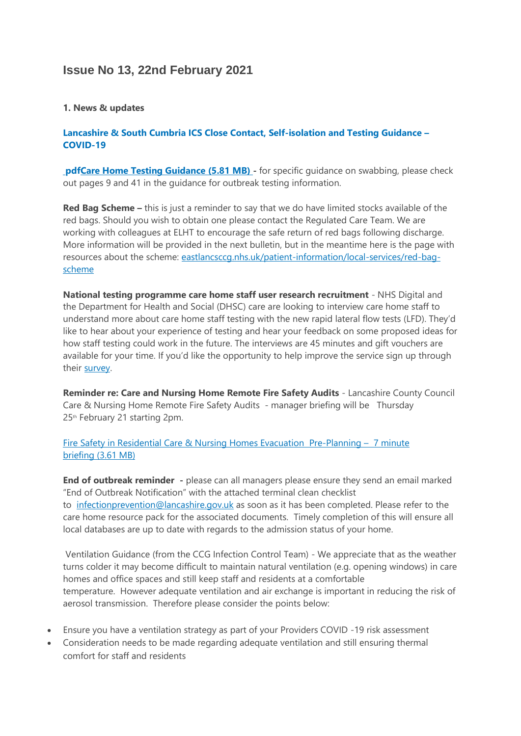# **Issue No 13, 22nd February 2021**

#### **1. News & updates**

## **[Lancashire & South Cumbria ICS Close Contact, Self-isolation and Testing Guidance](https://eastlancsccg.nhs.uk/images/Staff_notice_guide.pdf) – [COVID-19](https://eastlancsccg.nhs.uk/images/Staff_notice_guide.pdf)**

**[pdfCare Home Testing Guidance](https://eastlancsccg.nhs.uk/contact-us/freedom-of-information/disclosure-logs/publications/2782-care-home-testing-guidance) (5.81 MB)** - for specific guidance on swabbing, please check out pages 9 and 41 in the guidance for outbreak testing information.

**Red Bag Scheme –** this is just a reminder to say that we do have limited stocks available of the red bags. Should you wish to obtain one please contact the Regulated Care Team. We are working with colleagues at ELHT to encourage the safe return of red bags following discharge. More information will be provided in the next bulletin, but in the meantime here is the page with resources about the scheme: [eastlancsccg.nhs.uk/patient-information/local-services/red-bag](https://eastlancsccg.nhs.uk/patient-information/local-services/red-bag-scheme)[scheme](https://eastlancsccg.nhs.uk/patient-information/local-services/red-bag-scheme)

**National testing programme care home staff user research recruitment** - NHS Digital and the Department for Health and Social (DHSC) care are looking to interview care home staff to understand more about care home staff testing with the new rapid lateral flow tests (LFD). They'd like to hear about your experience of testing and hear your feedback on some proposed ideas for how staff testing could work in the future. The interviews are 45 minutes and gift vouchers are available for your time. If you'd like the opportunity to help improve the service sign up through their [survey.](https://lnks.gd/l/eyJhbGciOiJIUzI1NiJ9.eyJidWxsZXRpbl9saW5rX2lkIjoxMDIsInVyaSI6ImJwMjpjbGljayIsImJ1bGxldGluX2lkIjoiMjAyMTAyMTUuMzUyNTc0NzEiLCJ1cmwiOiJodHRwczovL25oc2RpZ2l0YWwuZXUucXVhbHRyaWNzLmNvbS9qZmUvZm9ybS9TVl82WEFFRFNzZTdXOHdKbFkifQ.RhSaebixIorWasqnTKOtcNRM4nymj5zOdr_TxYWyuAg/s/1023511166/br/97607539432-l)

**Reminder re: Care and Nursing Home Remote Fire Safety Audits** - Lancashire County Council Care & Nursing Home Remote Fire Safety Audits - manager briefing will be Thursday 25th February 21 starting 2pm.

[Fire Safety in Residential Care & Nursing Homes Evacuation](https://eastlancsccg.nhs.uk/about-us/publications/2771-lsab-and-lfrs-fire-safety-in-residential-care-nursing-homes-evacuation) Pre-Planning – 7 minute briefing [\(3.61 MB\)](https://eastlancsccg.nhs.uk/about-us/publications/2771-lsab-and-lfrs-fire-safety-in-residential-care-nursing-homes-evacuation)

**End of outbreak reminder -** please can all managers please ensure they send an email marked "End of Outbreak Notification" with the attached terminal clean checklist to [infectionprevention@lancashire.gov.uk](mailto:infectionprevention@lancashire.gov.uk) as soon as it has been completed. Please refer to the care home resource pack for the associated documents. Timely completion of this will ensure all local databases are up to date with regards to the admission status of your home.

Ventilation Guidance (from the CCG Infection Control Team) - We appreciate that as the weather turns colder it may become difficult to maintain natural ventilation (e.g. opening windows) in care homes and office spaces and still keep staff and residents at a comfortable temperature. However adequate ventilation and air exchange is important in reducing the risk of aerosol transmission. Therefore please consider the points below:

- Ensure you have a ventilation strategy as part of your Providers COVID -19 risk assessment
- Consideration needs to be made regarding adequate ventilation and still ensuring thermal comfort for staff and residents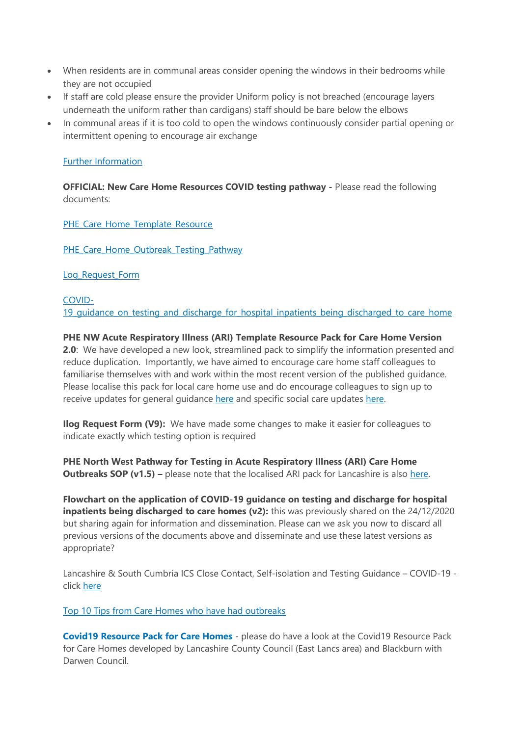- When residents are in communal areas consider opening the windows in their bedrooms while they are not occupied
- If staff are cold please ensure the provider Uniform policy is not breached (encourage layers underneath the uniform rather than cardigans) staff should be bare below the elbows
- In communal areas if it is too cold to open the windows continuously consider partial opening or intermittent opening to encourage air exchange

## [Further Information](https://assets.publishing.service.gov.uk/government/uploads/system/uploads/attachment_data/file/928720/S0789_EMG_Role_of_Ventilation_in_Controlling_SARS-CoV-2_Transmission.pdf)

**OFFICIAL: New Care Home Resources COVID testing pathway -** Please read the following documents:

[PHE\\_Care\\_Home\\_Template\\_Resource](https://eastlancsccg.nhs.uk/images/PHE_NW_ARI_Care_Home_Template_Resource_v2_11012021.pptx)

PHE Care Home Outbreak Testing Pathway

[Log\\_Request\\_Form](https://eastlancsccg.nhs.uk/images/Ilog_Request_Form_V9_11012021.docx)

[COVID-](https://eastlancsccg.nhs.uk/images/Flowchart_on_the_application_of_COVID-19_guidance_on_testing_and_discharge_for_hospital_inpatients_being_discharged_to_care_home.pdf)[19\\_guidance\\_on\\_testing\\_and\\_discharge\\_for\\_hospital\\_inpatients\\_being\\_discharged\\_to\\_care\\_home](https://eastlancsccg.nhs.uk/images/Flowchart_on_the_application_of_COVID-19_guidance_on_testing_and_discharge_for_hospital_inpatients_being_discharged_to_care_home.pdf)

# **PHE NW Acute Respiratory Illness (ARI) Template Resource Pack for Care Home Version 2.0**: We have developed a new look, streamlined pack to simplify the information presented and reduce duplication. Importantly, we have aimed to encourage care home staff colleagues to familiarise themselves with and work within the most recent version of the published guidance.

Please localise this pack for local care home use and do encourage colleagues to sign up to receive updates for general guidance [here](https://eur01.safelinks.protection.outlook.com/?url=https%3A%2F%2Fwww.gov.uk%2Femail-signup%3Ftopic%3D%2Fcoronavirus-taxon&data=04%7C01%7CICC.Northwest%40phe.gov.uk%7C43409d913cfe4836d83808d8b6ea2da9%7Cee4e14994a354b2ead475f3cf9de8666%7C0%7C0%7C637460464223163495%7CUnknown%7CTWFpbGZsb3d8eyJWIjoiMC4wLjAwMDAiLCJQIjoiV2luMzIiLCJBTiI6Ik1haWwiLCJXVCI6Mn0%3D%7C1000&sdata=AHge6%2F2yyUXLRWU1ibFh3r221NBwYIT%2BMTt71VeYLYo%3D&reserved=0) and specific social care updates [here.](https://eur01.safelinks.protection.outlook.com/?url=https%3A%2F%2Fdhsc-mail.co.uk%2Fform%2FSx1iaZDJ%2Fd4e8f5123aa2d11bf90fb9e3%2F&data=04%7C01%7CICC.Northwest%40phe.gov.uk%7C43409d913cfe4836d83808d8b6ea2da9%7Cee4e14994a354b2ead475f3cf9de8666%7C0%7C0%7C637460464223163495%7CUnknown%7CTWFpbGZsb3d8eyJWIjoiMC4wLjAwMDAiLCJQIjoiV2luMzIiLCJBTiI6Ik1haWwiLCJXVCI6Mn0%3D%7C1000&sdata=AeD387cOKNfN9zu3LcGoT8SjKSa0Uw959oiprQfyhHo%3D&reserved=0)

**Ilog Request Form (V9):** We have made some changes to make it easier for colleagues to indicate exactly which testing option is required

**PHE North West Pathway for Testing in Acute Respiratory Illness (ARI) Care Home Outbreaks SOP (v1.5) –** please note that the localised ARI pack for Lancashire is also [here.](https://www.lancashire.gov.uk/media/921449/phe-nw-acute-respiratory-illness-ari-template-resource-pack-for-care-homes-version-20.pdf)

**Flowchart on the application of COVID-19 guidance on testing and discharge for hospital inpatients being discharged to care homes (v2):** this was previously shared on the 24/12/2020 but sharing again for information and dissemination. Please can we ask you now to discard all previous versions of the documents above and disseminate and use these latest versions as appropriate?

Lancashire & South Cumbria ICS Close Contact, Self-isolation and Testing Guidance – COVID-19 click [here](https://eastlancsccg.nhs.uk/images/Staff_notice_guide_to_close_contacts_self-isolation_and_testing_version__.pdf)

[Top 10 Tips from Care Homes who have had outbreaks](https://eastlancsccg.nhs.uk/images/RegulatedCareSector/Top_ten_tips.docx)

**[Covid19 Resource Pack for Care Homes](https://www.lancashire.gov.uk/practitioners/health-and-social-care/care-service-provider-engagement/coronavirus-covid-19-information-for-care-providers/residential-and-nursing-care/)** - please do have a look at the Covid19 Resource Pack for Care Homes developed by Lancashire County Council (East Lancs area) and Blackburn with Darwen Council.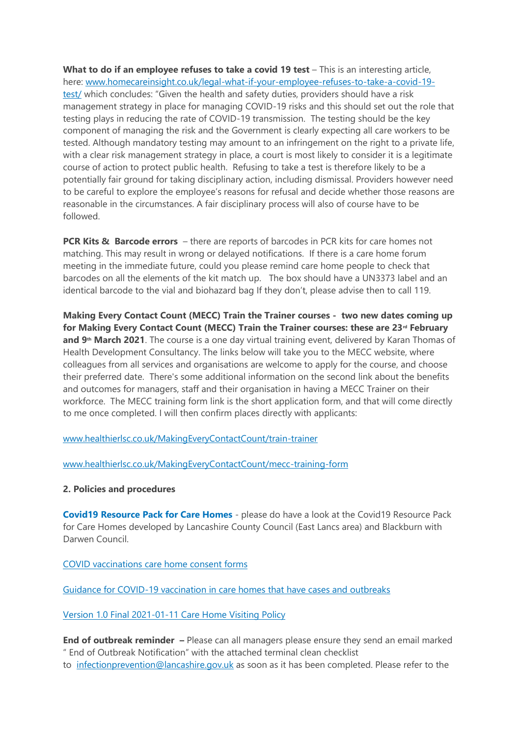**What to do if an employee refuses to take a covid 19 test** – This is an interesting article, here: [www.homecareinsight.co.uk/legal-what-if-your-employee-refuses-to-take-a-covid-19](https://www.homecareinsight.co.uk/legal-what-if-your-employee-refuses-to-take-a-covid-19-test/) [test/](https://www.homecareinsight.co.uk/legal-what-if-your-employee-refuses-to-take-a-covid-19-test/) which concludes: "Given the health and safety duties, providers should have a risk management strategy in place for managing COVID-19 risks and this should set out the role that testing plays in reducing the rate of COVID-19 transmission. The testing should be the key component of managing the risk and the Government is clearly expecting all care workers to be tested. Although mandatory testing may amount to an infringement on the right to a private life, with a clear risk management strategy in place, a court is most likely to consider it is a legitimate course of action to protect public health. Refusing to take a test is therefore likely to be a potentially fair ground for taking disciplinary action, including dismissal. Providers however need to be careful to explore the employee's reasons for refusal and decide whether those reasons are reasonable in the circumstances. A fair disciplinary process will also of course have to be followed.

**PCR Kits & Barcode errors** – there are reports of barcodes in PCR kits for care homes not matching. This may result in wrong or delayed notifications. If there is a care home forum meeting in the immediate future, could you please remind care home people to check that barcodes on all the elements of the kit match up. The box should have a UN3373 label and an identical barcode to the vial and biohazard bag If they don't, please advise then to call 119.

**Making Every Contact Count (MECC) Train the Trainer courses - two new dates coming up for Making Every Contact Count (MECC) Train the Trainer courses: these are 23rd February and 9th March 2021**. The course is a one day virtual training event, delivered by Karan Thomas of Health Development Consultancy. The links below will take you to the MECC website, where colleagues from all services and organisations are welcome to apply for the course, and choose their preferred date. There's some additional information on the second link about the benefits and outcomes for managers, staff and their organisation in having a MECC Trainer on their workforce. The MECC training form link is the short application form, and that will come directly to me once completed. I will then confirm places directly with applicants:

[www.healthierlsc.co.uk/MakingEveryContactCount/train-trainer](https://www.healthierlsc.co.uk/MakingEveryContactCount/train-trainer)

[www.healthierlsc.co.uk/MakingEveryContactCount/mecc-training-form](https://www.healthierlsc.co.uk/MakingEveryContactCount/mecc-training-form)

## **2. Policies and procedures**

**[Covid19 Resource Pack for Care Homes](https://www.lancashire.gov.uk/practitioners/health-and-social-care/care-service-provider-engagement/coronavirus-covid-19-information-for-care-providers/residential-and-nursing-care/)** - please do have a look at the Covid19 Resource Pack for Care Homes developed by Lancashire County Council (East Lancs area) and Blackburn with Darwen Council.

[COVID vaccinations care home consent forms](https://eastlancsccg.nhs.uk/images/RegulatedCareSector/20201208_ICS_CH_CvdVacConsentForm_v1_FINAL.PDF)

Guidance [for COVID-19 vaccination in care homes that have cases and outbreaks](https://www.england.nhs.uk/coronavirus/publication/guidance-for-covid-19-vaccination-in-care-homes-that-have-cases-and-outbreaks/)

## [Version 1.0 Final 2021-01-11 Care Home Visiting Policy](https://www.gov.uk/government/publications/visiting-care-homes-during-coronavirus/update-on-policies-for-visiting-arrangements-in-care-homes)

**End of outbreak reminder –** Please can all managers please ensure they send an email marked " End of Outbreak Notification" with the attached terminal clean checklist to [infectionprevention@lancashire.gov.uk](mailto:infectionprevention@lancashire.gov.uk) as soon as it has been completed. Please refer to the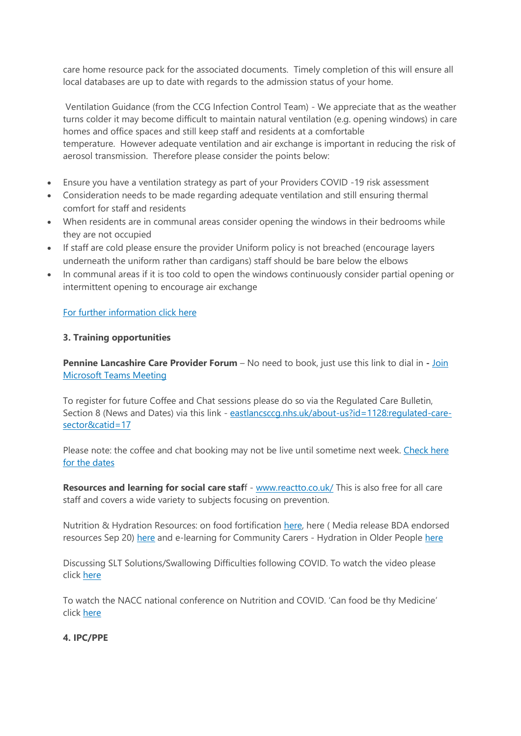care home resource pack for the associated documents. Timely completion of this will ensure all local databases are up to date with regards to the admission status of your home.

Ventilation Guidance (from the CCG Infection Control Team) - We appreciate that as the weather turns colder it may become difficult to maintain natural ventilation (e.g. opening windows) in care homes and office spaces and still keep staff and residents at a comfortable temperature. However adequate ventilation and air exchange is important in reducing the risk of aerosol transmission. Therefore please consider the points below:

- Ensure you have a ventilation strategy as part of your Providers COVID -19 risk assessment
- Consideration needs to be made regarding adequate ventilation and still ensuring thermal comfort for staff and residents
- When residents are in communal areas consider opening the windows in their bedrooms while they are not occupied
- If staff are cold please ensure the provider Uniform policy is not breached (encourage layers underneath the uniform rather than cardigans) staff should be bare below the elbows
- In communal areas if it is too cold to open the windows continuously consider partial opening or intermittent opening to encourage air exchange

## [For further information click here](https://assets.publishing.service.gov.uk/government/uploads/system/uploads/attachment_data/file/928720/S0789_EMG_Role_of_Ventilation_in_Controlling_SARS-CoV-2_Transmission.pdf)

## **3. Training opportunities**

**Pennine Lancashire Care Provider Forum** – No need to book, just use this link to dial in **-** [Join](https://teams.microsoft.com/l/meetup-join/19%3ameeting_OWE0ZjdiNjUtNTRmZC00YzE2LWFhMjYtYjk2MGRhOTQ5NTEw%40thread.v2/0?context=%7b%22Tid%22%3a%2237c354b2-85b0-47f5-b222-07b48d774ee3%22%2c%22Oid%22%3a%226ae1fd49-b6bd-4e18-8c59-b3f5992aa6e2%22%7d)  [Microsoft Teams Meeting](https://teams.microsoft.com/l/meetup-join/19%3ameeting_OWE0ZjdiNjUtNTRmZC00YzE2LWFhMjYtYjk2MGRhOTQ5NTEw%40thread.v2/0?context=%7b%22Tid%22%3a%2237c354b2-85b0-47f5-b222-07b48d774ee3%22%2c%22Oid%22%3a%226ae1fd49-b6bd-4e18-8c59-b3f5992aa6e2%22%7d)

To register for future Coffee and Chat sessions please do so via the Regulated Care Bulletin, Section 8 (News and Dates) via this link - eastlancsccq.nhs.uk/about-us?id=1128:requlated-care[sector&catid=17](https://eastlancsccg.nhs.uk/about-us?id=1128:regulated-care-sector&catid=17)

Please note: the coffee and chat booking may not be live until sometime next week. Check here [for the dates](https://eastlancsccg.nhs.uk/images/pic.JPG)

**Resources and learning for social care staff** - [www.reactto.co.uk/](https://www.reactto.co.uk/) This is also free for all care staff and covers a wide variety to subjects focusing on prevention.

Nutrition & Hydration Resources: on food fortification [here,](file:///C:/Users/libby.horsfield/AppData/Local/Microsoft/Windows/INetCache/Content.Outlook/JPBAACMK/images/Food_Fortification.pdf) here (Media release BDA endorsed resources Sep 20) [here](file:///C:/Users/libby.horsfield/AppData/Local/Microsoft/Windows/INetCache/Content.Outlook/JPBAACMK/images/e-learning_for_Community_Carers_-_Hydration_in_Older_People.docx) and e-learning for Community Carers - Hydration in Older People here

Discussing SLT Solutions/Swallowing Difficulties following COVID. To watch the video please click [here](https://bit.ly/2G8VuhL)

To watch the NACC national conference on Nutrition and COVID. 'Can food be thy Medicine' click [here](https://bit.ly/2TnSmkZ)

# **4. IPC/PPE**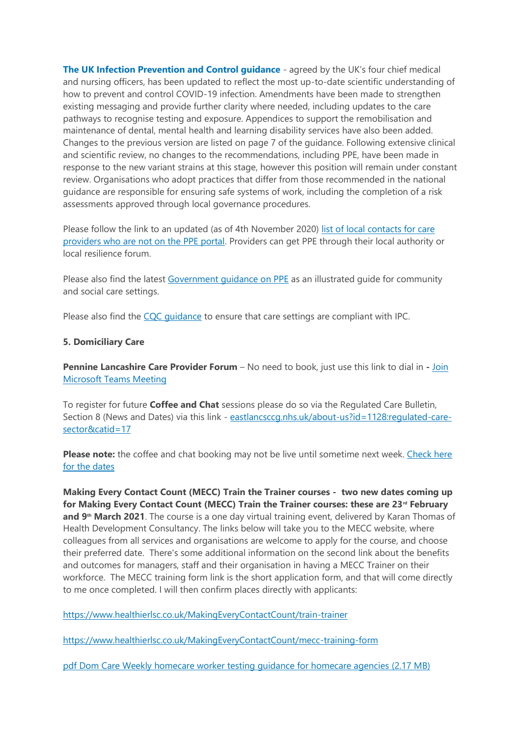**[The UK Infection Prevention and Control guidance](https://www.gov.uk/government/publications/wuhan-novel-coronavirus-infection-prevention-and-control)** - agreed by the UK's four chief medical and nursing officers, has been updated to reflect the most up-to-date scientific understanding of how to prevent and control COVID-19 infection. Amendments have been made to strengthen existing messaging and provide further clarity where needed, including updates to the care pathways to recognise testing and exposure. Appendices to support the remobilisation and maintenance of dental, mental health and learning disability services have also been added. Changes to the previous version are listed on page 7 of the guidance. Following extensive clinical and scientific review, no changes to the recommendations, including PPE, have been made in response to the new variant strains at this stage, however this position will remain under constant review. Organisations who adopt practices that differ from those recommended in the national guidance are responsible for ensuring safe systems of work, including the completion of a risk assessments approved through local governance procedures.

Please follow the link to an updated (as of 4th November 2020) list of local contacts for care [providers who are not on the PPE portal.](https://www.gov.uk/guidance/personal-protective-equipment-ppe-local-contacts-for-care-providers?utm_source=7b0599ce-5951-49ad-aa64-8d33f4581bd8&utm_medium=email&utm_campaign=govuk-notifications&utm_content=daily) Providers can get PPE through their local authority or local resilience forum.

Please also find the latest [Government guidance on PPE](https://www.gov.uk/government/publications/personal-protective-equipment-ppe-illustrated-guide-for-community-and-social-care-settings) as an illustrated guide for community and social care settings.

Please also find the [CQC guidance](https://www.cqc.org.uk/guidance-providers/residential-adult-social-care/infection-prevention-control-care-homes) to ensure that care settings are compliant with IPC.

#### **5. Domiciliary Care**

**Pennine Lancashire Care Provider Forum** – No need to book, just use this link to dial in **-** [Join](https://teams.microsoft.com/l/meetup-join/19%3ameeting_OWE0ZjdiNjUtNTRmZC00YzE2LWFhMjYtYjk2MGRhOTQ5NTEw%40thread.v2/0?context=%7b%22Tid%22%3a%2237c354b2-85b0-47f5-b222-07b48d774ee3%22%2c%22Oid%22%3a%226ae1fd49-b6bd-4e18-8c59-b3f5992aa6e2%22%7d)  [Microsoft Teams Meeting](https://teams.microsoft.com/l/meetup-join/19%3ameeting_OWE0ZjdiNjUtNTRmZC00YzE2LWFhMjYtYjk2MGRhOTQ5NTEw%40thread.v2/0?context=%7b%22Tid%22%3a%2237c354b2-85b0-47f5-b222-07b48d774ee3%22%2c%22Oid%22%3a%226ae1fd49-b6bd-4e18-8c59-b3f5992aa6e2%22%7d)

To register for future **Coffee and Chat** sessions please do so via the Regulated Care Bulletin, Section 8 (News and Dates) via this link - [eastlancsccg.nhs.uk/about-us?id=1128:regulated-care](https://eastlancsccg.nhs.uk/about-us?id=1128:regulated-care-sector&catid=17)[sector&catid=17](https://eastlancsccg.nhs.uk/about-us?id=1128:regulated-care-sector&catid=17)

**Please note:** the coffee and chat booking may not be live until sometime next week. Check here [for the dates](https://eastlancsccg.nhs.uk/images/pic.JPG)

**Making Every Contact Count (MECC) Train the Trainer courses - two new dates coming up for Making Every Contact Count (MECC) Train the Trainer courses: these are 23rd February and 9th March 2021**. The course is a one day virtual training event, delivered by Karan Thomas of Health Development Consultancy. The links below will take you to the MECC website, where colleagues from all services and organisations are welcome to apply for the course, and choose their preferred date. There's some additional information on the second link about the benefits and outcomes for managers, staff and their organisation in having a MECC Trainer on their workforce. The MECC training form link is the short application form, and that will come directly to me once completed. I will then confirm places directly with applicants:

<https://www.healthierlsc.co.uk/MakingEveryContactCount/train-trainer>

<https://www.healthierlsc.co.uk/MakingEveryContactCount/mecc-training-form>

[pdf Dom Care Weekly homecare worker testing guidance for homecare agencies](https://eastlancsccg.nhs.uk/contact-us/freedom-of-information/disclosure-logs/publications/2730-dom-care-weekly-homecare-worker-testing-guidance-for-homecare-agencies) (2.17 MB)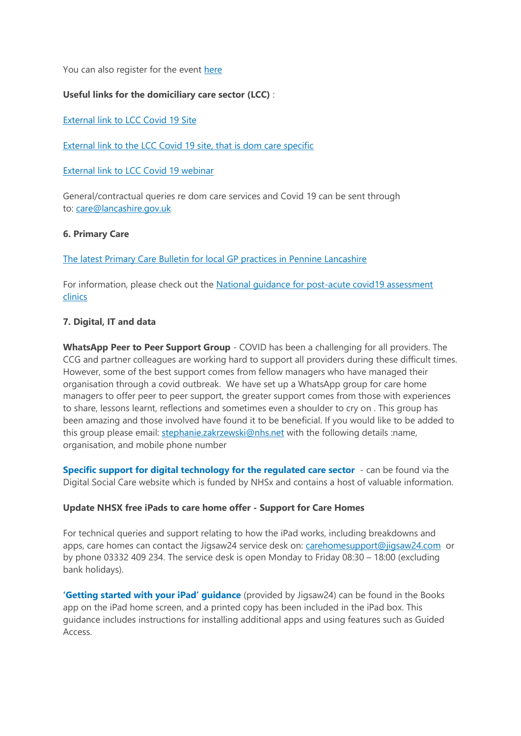You can also register for the event [here](https://www.eventbrite.co.uk/e/virtual-coffee-engagement-an-online-sessions-to-support-the-care-sector-tickets-137296701129)

## **Useful links for the domiciliary care sector (LCC)** :

[External link to LCC Covid 19 Site](https://www.lancashire.gov.uk/practitioners/health-and-social-care/care-service-provider-engagement/coronavirus-covid-19-information-for-care-providers/)

[External link to the LCC Covid 19 site, that is dom care specific](https://www.lancashire.gov.uk/practitioners/health-and-social-care/care-service-provider-engagement/coronavirus-covid-19-information-for-care-providers/home-care/)

[External link to LCC Covid 19 webinar](https://www.lancashire.gov.uk/practitioners/health-and-social-care/care-service-provider-engagement/coronavirus-covid-19-information-for-care-providers/local-communications-to-providers-and-service-users/covid-19-provider-engagement-webinars/)

General/contractual queries re dom care services and Covid 19 can be sent through to: [care@lancashire.gov.uk](mailto:care@lancashire.gov.uk)

#### **6. Primary Care**

The latest Primary Care Bulletin [for local GP practices in Pennine Lancashire](https://eastlancsccg.nhs.uk/images/20210222_Primary_Care_Briefing_from_Dr_M_Dziobon_No_172_for_circulation.pdf)

For information, please check out the [National guidance for post-acute covid19 assessment](https://www.england.nhs.uk/coronavirus/guidance-for-everyone/your-covid-recovery/)  [clinics](https://www.england.nhs.uk/coronavirus/guidance-for-everyone/your-covid-recovery/) 

## **7. Digital, IT and data**

**WhatsApp Peer to Peer Support Group** - COVID has been a challenging for all providers. The CCG and partner colleagues are working hard to support all providers during these difficult times. However, some of the best support comes from fellow managers who have managed their organisation through a covid outbreak. We have set up a WhatsApp group for care home managers to offer peer to peer support, the greater support comes from those with experiences to share, lessons learnt, reflections and sometimes even a shoulder to cry on . This group has been amazing and those involved have found it to be beneficial. If you would like to be added to this group please email: [stephanie.zakrzewski@nhs.net](mailto:stephanie.zakrzewski@nhs.net) with the following details :name, organisation, and mobile phone number

**[Specific support for digital technology for the regulated care sector](https://www.digitalsocialcare.co.uk/)** - can be found via the Digital Social Care website which is funded by NHSx and contains a host of valuable information.

## **Update NHSX free iPads to care home offer - Support for Care Homes**

For technical queries and support relating to how the iPad works, including breakdowns and apps, care homes can contact the Jigsaw24 service desk on: [carehomesupport@jigsaw24.com](mailto:carehomesupport@jigsaw24.com) or by phone 03332 409 234. The service desk is open Monday to Friday 08:30 – 18:00 (excluding bank holidays).

**['Getting started with your iPad' guidance](https://eastlancsccg.nhs.uk/images/jigsaw24_CareHome_ipad_guide.pdf)** (provided by Jigsaw24) can be found in the Books app on the iPad home screen, and a printed copy has been included in the iPad box. This guidance includes instructions for installing additional apps and using features such as Guided Access.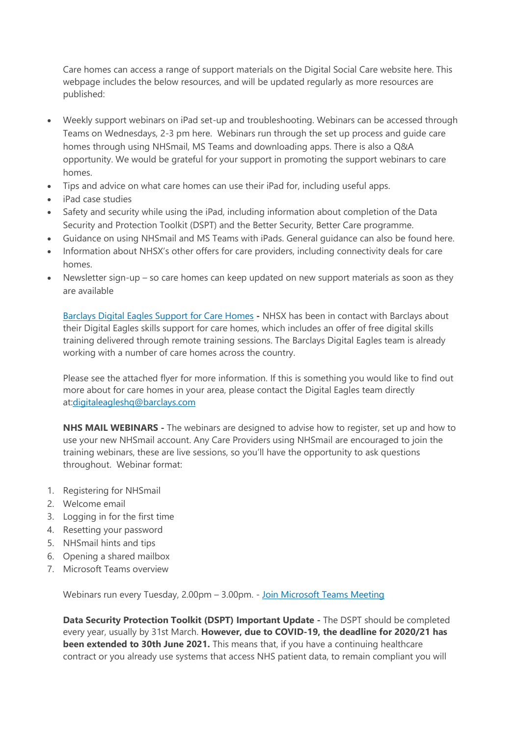Care homes can access a range of support materials on the Digital Social Care website here. This webpage includes the below resources, and will be updated regularly as more resources are published:

- Weekly support webinars on iPad set-up and troubleshooting. Webinars can be accessed through Teams on Wednesdays, 2-3 pm here. Webinars run through the set up process and guide care homes through using NHSmail, MS Teams and downloading apps. There is also a Q&A opportunity. We would be grateful for your support in promoting the support webinars to care homes.
- Tips and advice on what care homes can use their iPad for, including useful apps.
- iPad case studies
- Safety and security while using the iPad, including information about completion of the Data Security and Protection Toolkit (DSPT) and the Better Security, Better Care programme.
- Guidance on using NHSmail and MS Teams with iPads. General guidance can also be found here.
- Information about NHSX's other offers for care providers, including connectivity deals for care homes.
- Newsletter sign-up so care homes can keep updated on new support materials as soon as they are available

[Barclays Digital Eagles Support for Care Homes](https://eastlancsccg.nhs.uk/images/Barclays_Digital_Eagles_Care_Home_Flyer.pdf) **-** NHSX has been in contact with Barclays about their Digital Eagles skills support for care homes, which includes an offer of free digital skills training delivered through remote training sessions. The Barclays Digital Eagles team is already working with a number of care homes across the country.

Please see the attached flyer for more information. If this is something you would like to find out more about for care homes in your area, please contact the Digital Eagles team directly a[t:digitaleagleshq@barclays.com](mailto:digitaleagleshq@barclays.com)

**NHS MAIL WEBINARS -** The webinars are designed to advise how to register, set up and how to use your new NHSmail account. Any Care Providers using NHSmail are encouraged to join the training webinars, these are live sessions, so you'll have the opportunity to ask questions throughout. Webinar format:

- 1. Registering for NHSmail
- 2. Welcome email
- 3. Logging in for the first time
- 4. Resetting your password
- 5. NHSmail hints and tips
- 6. Opening a shared mailbox
- 7. Microsoft Teams overview

Webinars run every Tuesday, 2.00pm – 3.00pm. - [Join Microsoft Teams Meeting](https://teams.microsoft.com/l/meetup-join/19%3ameeting_ZGQ1MTkzMDAtZjU4OS00MDhhLWE1ZDgtNmUxNjIyNjcyYmZi%40thread.v2/0?context=%7b%22Tid%22%3a%2203159e92-72c6-4b23-a64a-af50e790adbf%22%2c%22Oid%22%3a%22cc4ef5b2-82a3-43ca-8a81-da50f393d1c8%22%7d)

**Data Security Protection Toolkit (DSPT) Important Update -** The DSPT should be completed every year, usually by 31st March. **However, due to COVID-19, the deadline for 2020/21 has been extended to 30th June 2021.** This means that, if you have a continuing healthcare contract or you already use systems that access NHS patient data, to remain compliant you will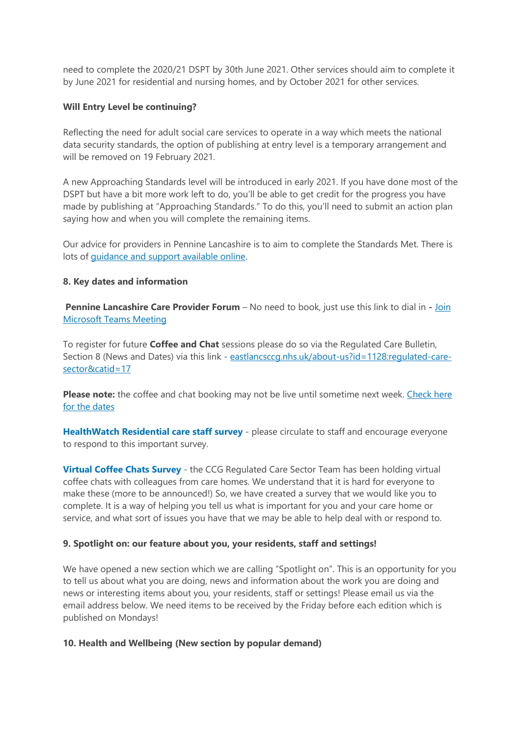need to complete the 2020/21 DSPT by 30th June 2021. Other services should aim to complete it by June 2021 for residential and nursing homes, and by October 2021 for other services.

#### **Will Entry Level be continuing?**

Reflecting the need for adult social care services to operate in a way which meets the national data security standards, the option of publishing at entry level is a temporary arrangement and will be removed on 19 February 2021.

A new Approaching Standards level will be introduced in early 2021. If you have done most of the DSPT but have a bit more work left to do, you'll be able to get credit for the progress you have made by publishing at "Approaching Standards." To do this, you'll need to submit an action plan saying how and when you will complete the remaining items.

Our advice for providers in Pennine Lancashire is to aim to complete the Standards Met. There is lots of [guidance and support available online.](https://www.digitalsocialcare.co.uk/data-security-protecting-my-information/data-security-and-protection-toolkit/)

#### **8. Key dates and information**

**Pennine Lancashire Care Provider Forum** – No need to book, just use this link to dial in **-** [Join](https://teams.microsoft.com/l/meetup-join/19%3ameeting_OWE0ZjdiNjUtNTRmZC00YzE2LWFhMjYtYjk2MGRhOTQ5NTEw%40thread.v2/0?context=%7b%22Tid%22%3a%2237c354b2-85b0-47f5-b222-07b48d774ee3%22%2c%22Oid%22%3a%226ae1fd49-b6bd-4e18-8c59-b3f5992aa6e2%22%7d)  [Microsoft Teams Meeting](https://teams.microsoft.com/l/meetup-join/19%3ameeting_OWE0ZjdiNjUtNTRmZC00YzE2LWFhMjYtYjk2MGRhOTQ5NTEw%40thread.v2/0?context=%7b%22Tid%22%3a%2237c354b2-85b0-47f5-b222-07b48d774ee3%22%2c%22Oid%22%3a%226ae1fd49-b6bd-4e18-8c59-b3f5992aa6e2%22%7d)

To register for future **Coffee and Chat** sessions please do so via the Regulated Care Bulletin, Section 8 (News and Dates) via this link - [eastlancsccg.nhs.uk/about-us?id=1128:regulated-care](https://eastlancsccg.nhs.uk/about-us?id=1128:regulated-care-sector&catid=17)[sector&catid=17](https://eastlancsccg.nhs.uk/about-us?id=1128:regulated-care-sector&catid=17)

**Please note:** the coffee and chat booking may not be live until sometime next week. Check here [for the dates](https://eastlancsccg.nhs.uk/images/pic.JPG)

**[HealthWatch Residential care staff survey](https://www.surveymonkey.co.uk/r/F37VV7N)** - please circulate to staff and encourage everyone to respond to this important survey.

**[Virtual Coffee Chats Survey](https://www.surveymonkey.co.uk/r/COVID_VCC)** - the CCG Regulated Care Sector Team has been holding virtual coffee chats with colleagues from care homes. We understand that it is hard for everyone to make these (more to be announced!) So, we have created a survey that we would like you to complete. It is a way of helping you tell us what is important for you and your care home or service, and what sort of issues you have that we may be able to help deal with or respond to.

#### **9. Spotlight on: our feature about you, your residents, staff and settings!**

We have opened a new section which we are calling "Spotlight on". This is an opportunity for you to tell us about what you are doing, news and information about the work you are doing and news or interesting items about you, your residents, staff or settings! Please email us via the email address below. We need items to be received by the Friday before each edition which is published on Mondays!

#### **10. Health and Wellbeing (New section by popular demand)**